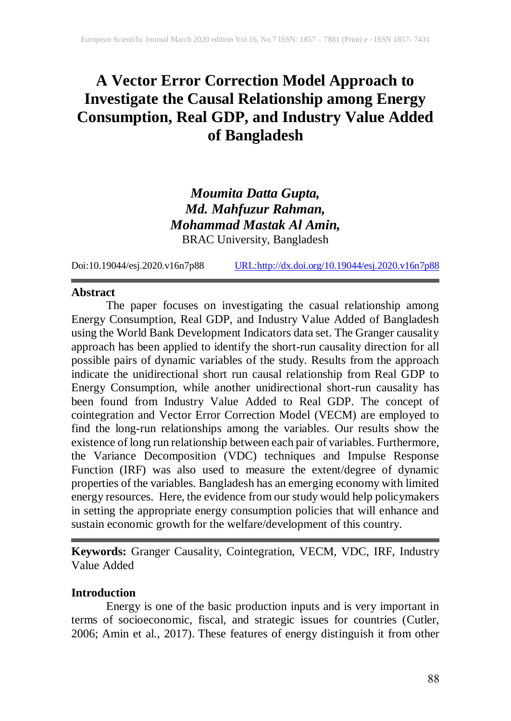# **A Vector Error Correction Model Approach to Investigate the Causal Relationship among Energy Consumption, Real GDP, and Industry Value Added of Bangladesh**

# *Moumita Datta Gupta, Md. Mahfuzur Rahman, Mohammad Mastak Al Amin,* BRAC University, Bangladesh

Doi:10.19044/esj.2020.v16n7p88 [URL:http://dx.doi.org/10.19044/esj.2020.v16n7p88](http://dx.doi.org/10.19044/esj.2020.v16n7p88)

### **Abstract**

The paper focuses on investigating the casual relationship among Energy Consumption, Real GDP, and Industry Value Added of Bangladesh using the World Bank Development Indicators data set. The Granger causality approach has been applied to identify the short-run causality direction for all possible pairs of dynamic variables of the study. Results from the approach indicate the unidirectional short run causal relationship from Real GDP to Energy Consumption, while another unidirectional short-run causality has been found from Industry Value Added to Real GDP. The concept of cointegration and Vector Error Correction Model (VECM) are employed to find the long-run relationships among the variables. Our results show the existence of long run relationship between each pair of variables. Furthermore, the Variance Decomposition (VDC) techniques and Impulse Response Function (IRF) was also used to measure the extent/degree of dynamic properties of the variables. Bangladesh has an emerging economy with limited energy resources. Here, the evidence from our study would help policymakers in setting the appropriate energy consumption policies that will enhance and sustain economic growth for the welfare/development of this country.

**Keywords:** Granger Causality, Cointegration, VECM, VDC, IRF, Industry Value Added

### **Introduction**

Energy is one of the basic production inputs and is very important in terms of socioeconomic, fiscal, and strategic issues for countries (Cutler, 2006; Amin et al., 2017). These features of energy distinguish it from other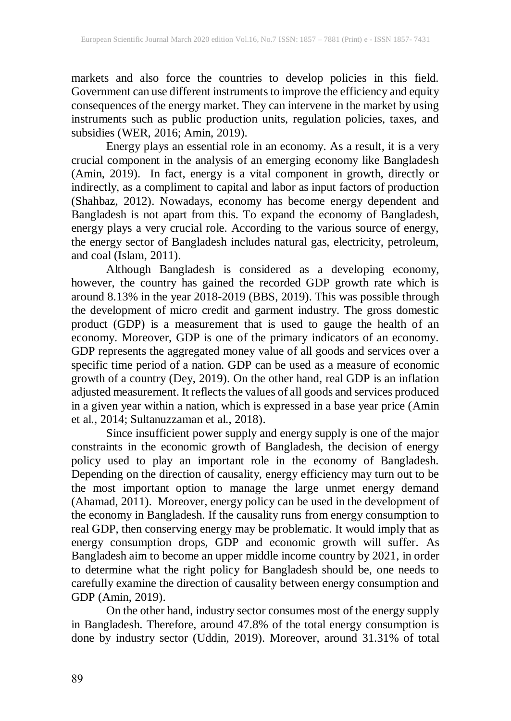markets and also force the countries to develop policies in this field. Government can use different instruments to improve the efficiency and equity consequences of the energy market. They can intervene in the market by using instruments such as public production units, regulation policies, taxes, and subsidies (WER, 2016; Amin, 2019).

Energy plays an essential role in an economy. As a result, it is a very crucial component in the analysis of an emerging economy like Bangladesh (Amin, 2019). In fact, energy is a vital component in growth, directly or indirectly, as a compliment to capital and labor as input factors of production (Shahbaz, 2012). Nowadays, economy has become energy dependent and Bangladesh is not apart from this. To expand the economy of Bangladesh, energy plays a very crucial role. According to the various source of energy, the energy sector of Bangladesh includes natural gas, electricity, petroleum, and coal (Islam, 2011).

Although Bangladesh is considered as a developing economy, however, the country has gained the recorded GDP growth rate which is around 8.13% in the year 2018-2019 (BBS, 2019). This was possible through the development of micro credit and garment industry. The gross domestic product (GDP) is a measurement that is used to gauge the health of an economy. Moreover, GDP is one of the primary indicators of an economy. GDP represents the aggregated money value of all goods and services over a specific time period of a nation. GDP can be used as a measure of economic growth of a country (Dey, 2019). On the other hand, real GDP is an inflation adjusted measurement. It reflects the values of all goods and services produced in a given year within a nation, which is expressed in a base year price (Amin et al., 2014; Sultanuzzaman et al., 2018).

Since insufficient power supply and energy supply is one of the major constraints in the economic growth of Bangladesh, the decision of energy policy used to play an important role in the economy of Bangladesh. Depending on the direction of causality, energy efficiency may turn out to be the most important option to manage the large unmet energy demand (Ahamad, 2011). Moreover, energy policy can be used in the development of the economy in Bangladesh. If the causality runs from energy consumption to real GDP, then conserving energy may be problematic. It would imply that as energy consumption drops, GDP and economic growth will suffer. As Bangladesh aim to become an upper middle income country by 2021, in order to determine what the right policy for Bangladesh should be, one needs to carefully examine the direction of causality between energy consumption and GDP (Amin, 2019).

On the other hand, industry sector consumes most of the energy supply in Bangladesh. Therefore, around 47.8% of the total energy consumption is done by industry sector (Uddin, 2019). Moreover, around 31.31% of total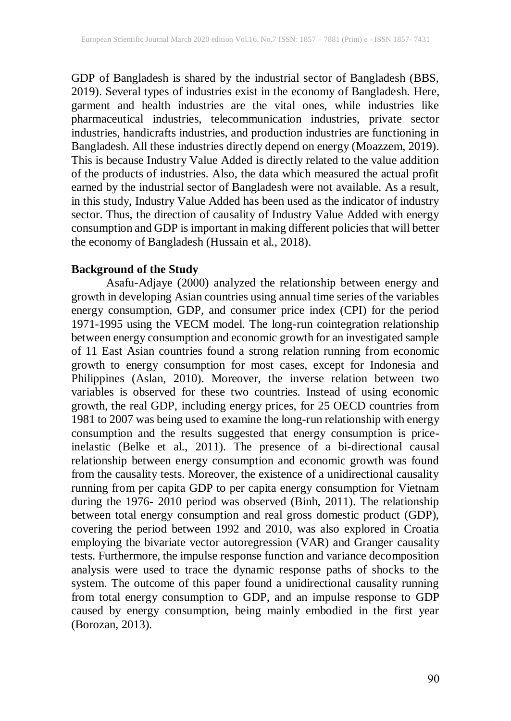GDP of Bangladesh is shared by the industrial sector of Bangladesh (BBS, 2019). Several types of industries exist in the economy of Bangladesh. Here, garment and health industries are the vital ones, while industries like pharmaceutical industries, telecommunication industries, private sector industries, handicrafts industries, and production industries are functioning in Bangladesh. All these industries directly depend on energy (Moazzem, 2019). This is because Industry Value Added is directly related to the value addition of the products of industries. Also, the data which measured the actual profit earned by the industrial sector of Bangladesh were not available. As a result, in this study, Industry Value Added has been used as the indicator of industry sector. Thus, the direction of causality of Industry Value Added with energy consumption and GDP is important in making different policies that will better the economy of Bangladesh (Hussain et al., 2018).

### **Background of the Study**

Asafu-Adjaye (2000) analyzed the relationship between energy and growth in developing Asian countries using annual time series of the variables energy consumption, GDP, and consumer price index (CPI) for the period 1971-1995 using the VECM model. The long-run cointegration relationship between energy consumption and economic growth for an investigated sample of 11 East Asian countries found a strong relation running from economic growth to energy consumption for most cases, except for Indonesia and Philippines (Aslan, 2010). Moreover, the inverse relation between two variables is observed for these two countries. Instead of using economic growth, the real GDP, including energy prices, for 25 OECD countries from 1981 to 2007 was being used to examine the long-run relationship with energy consumption and the results suggested that energy consumption is priceinelastic (Belke et al., 2011). The presence of a bi-directional causal relationship between energy consumption and economic growth was found from the causality tests. Moreover, the existence of a unidirectional causality running from per capita GDP to per capita energy consumption for Vietnam during the 1976- 2010 period was observed (Binh, 2011). The relationship between total energy consumption and real gross domestic product (GDP), covering the period between 1992 and 2010, was also explored in Croatia employing the bivariate vector autoregression (VAR) and Granger causality tests. Furthermore, the impulse response function and variance decomposition analysis were used to trace the dynamic response paths of shocks to the system. The outcome of this paper found a unidirectional causality running from total energy consumption to GDP, and an impulse response to GDP caused by energy consumption, being mainly embodied in the first year (Borozan, 2013).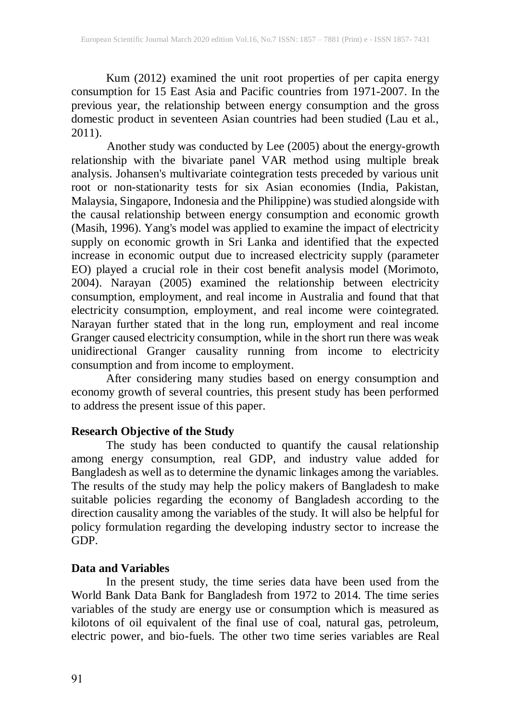Kum (2012) examined the unit root properties of per capita energy consumption for 15 East Asia and Pacific countries from 1971-2007. In the previous year, the relationship between energy consumption and the gross domestic product in seventeen Asian countries had been studied (Lau et al., 2011).

Another study was conducted by Lee (2005) about the energy-growth relationship with the bivariate panel VAR method using multiple break analysis. Johansen's multivariate cointegration tests preceded by various unit root or non-stationarity tests for six Asian economies (India, Pakistan, Malaysia, Singapore, Indonesia and the Philippine) was studied alongside with the causal relationship between energy consumption and economic growth (Masih, 1996). Yang's model was applied to examine the impact of electricity supply on economic growth in Sri Lanka and identified that the expected increase in economic output due to increased electricity supply (parameter EO) played a crucial role in their cost benefit analysis model (Morimoto, 2004). Narayan (2005) examined the relationship between electricity consumption, employment, and real income in Australia and found that that electricity consumption, employment, and real income were cointegrated. Narayan further stated that in the long run, employment and real income Granger caused electricity consumption, while in the short run there was weak unidirectional Granger causality running from income to electricity consumption and from income to employment.

After considering many studies based on energy consumption and economy growth of several countries, this present study has been performed to address the present issue of this paper.

### **Research Objective of the Study**

The study has been conducted to quantify the causal relationship among energy consumption, real GDP, and industry value added for Bangladesh as well as to determine the dynamic linkages among the variables. The results of the study may help the policy makers of Bangladesh to make suitable policies regarding the economy of Bangladesh according to the direction causality among the variables of the study. It will also be helpful for policy formulation regarding the developing industry sector to increase the GDP.

## **Data and Variables**

In the present study, the time series data have been used from the World Bank Data Bank for Bangladesh from 1972 to 2014. The time series variables of the study are energy use or consumption which is measured as kilotons of oil equivalent of the final use of coal, natural gas, petroleum, electric power, and bio-fuels. The other two time series variables are Real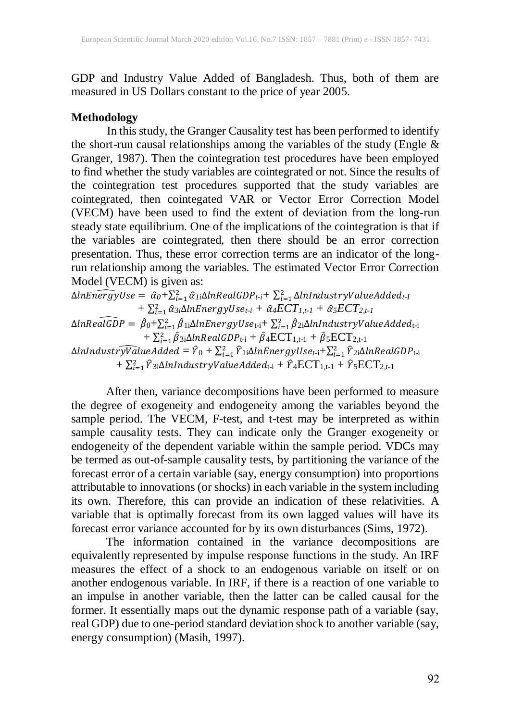GDP and Industry Value Added of Bangladesh. Thus, both of them are measured in US Dollars constant to the price of year 2005.

### **Methodology**

In this study, the Granger Causality test has been performed to identify the short-run causal relationships among the variables of the study (Engle  $\&$ Granger, 1987). Then the cointegration test procedures have been employed to find whether the study variables are cointegrated or not. Since the results of the cointegration test procedures supported that the study variables are cointegrated, then cointegated VAR or Vector Error Correction Model (VECM) have been used to find the extent of deviation from the long-run steady state equilibrium. One of the implications of the cointegration is that if the variables are cointegrated, then there should be an error correction presentation. Thus, these error correction terms are an indicator of the longrun relationship among the variables. The estimated Vector Error Correction Model (VECM) is given as:

 $\Delta$ lnEn $\widehat{ergy}$ Use =  $\hat{\alpha}_0 + \sum_{i=1}^2 \hat{\alpha}_{Ii}$  $\Delta$ lnRealGDP<sub>t-i</sub>+  $\sum_{i=1}^2 \Delta$ lnIndustryValueAdded<sub>t-l</sub>  $+ \sum_{i=1}^{2} \hat{\alpha}_{3i} \Delta$ *lnEnergyUse<sub>t-i</sub>* +  $\hat{\alpha}_{4} ECT_{1,t-1} + \hat{\alpha}_{5} ECT_{2,t-1}$  $\Delta ln Re\widehat{alGDP} = \ \hat{\beta}_0 + \sum_{i=1}^2 \hat{\beta}_{1i} \Delta lnEnergyUse_{\text{t-i}} + \sum_{i=1}^2 \hat{\beta}_{2i} \Delta lnIndustryValueAdded_{\text{t-i}}$  $+ \sum_{i=1}^{2} \hat{\beta}_{3i} \Delta ln RealGDP_{t-i} + \hat{\beta}_4 ECT_{1,t-1} + \hat{\beta}_5 ECT_{2,t-1}$ 

 $\Delta$ lnIndustr $\widehat{yV}$ alueAdded =  $\widehat{Y}_0+\sum_{i=1}^2\widehat{Y}_{1i}\Delta$ lnEnergyUse $_{\mathrm{t-i}}+\sum_{i=1}^2\widehat{Y}_{2i}\Delta$ lnRealGDP $_{\mathrm{t-i}}$  $+ \sum_{i=1}^{2} \hat{Y}_{3i} \Delta$ lnIndustryValueAdded<sub>t-i</sub> +  $\hat{Y}_4$ ECT<sub>1,t-1</sub> +  $\hat{Y}_5$ ECT<sub>2,t-1</sub>

After then, variance decompositions have been performed to measure the degree of exogeneity and endogeneity among the variables beyond the sample period. The VECM, F-test, and t-test may be interpreted as within sample causality tests. They can indicate only the Granger exogeneity or endogeneity of the dependent variable within the sample period. VDCs may be termed as out-of-sample causality tests, by partitioning the variance of the forecast error of a certain variable (say, energy consumption) into proportions attributable to innovations (or shocks) in each variable in the system including its own. Therefore, this can provide an indication of these relativities. A variable that is optimally forecast from its own lagged values will have its forecast error variance accounted for by its own disturbances (Sims, 1972).

The information contained in the variance decompositions are equivalently represented by impulse response functions in the study. An IRF measures the effect of a shock to an endogenous variable on itself or on another endogenous variable. In IRF, if there is a reaction of one variable to an impulse in another variable, then the latter can be called causal for the former. It essentially maps out the dynamic response path of a variable (say, real GDP) due to one-period standard deviation shock to another variable (say, energy consumption) (Masih, 1997).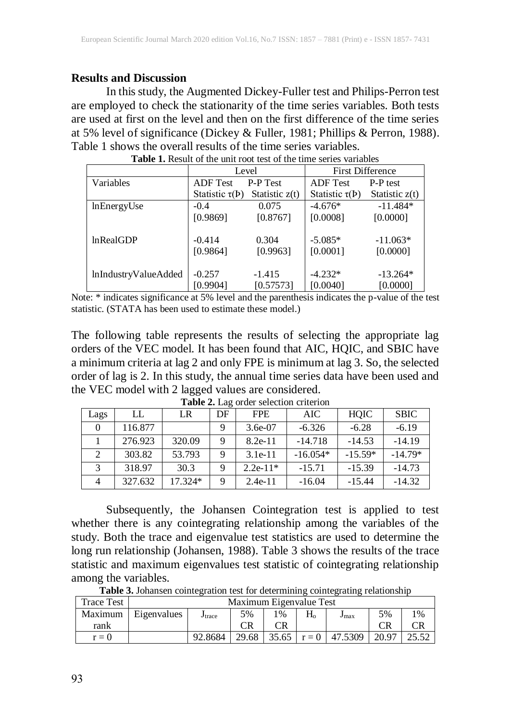### **Results and Discussion**

In this study, the Augmented Dickey-Fuller test and Philips-Perron test are employed to check the stationarity of the time series variables. Both tests are used at first on the level and then on the first difference of the time series at 5% level of significance (Dickey & Fuller, 1981; Phillips & Perron, 1988). Table 1 shows the overall results of the time series variables.

|                      | Level               |                  | <b>First Difference</b> |                  |  |  |
|----------------------|---------------------|------------------|-------------------------|------------------|--|--|
| Variables            | <b>ADF</b> Test     | P-P Test         | <b>ADF</b> Test         | <b>P-P</b> test  |  |  |
|                      | Statistic $\tau(P)$ | Statistic $z(t)$ | Statistic $\tau(P)$     | Statistic $z(t)$ |  |  |
| lnEnergyUse          | $-0.4$              | 0.075            | $-4.676*$               | $-11.484*$       |  |  |
|                      | [0.9869]            | [0.8767]         | [0.0008]                | [0.0000]         |  |  |
| lnRealGDP            | $-0.414$            | 0.304            | $-5.085*$               | $-11.063*$       |  |  |
|                      | [0.9864]            | [0.9963]         | [0.0001]                | [0.0000]         |  |  |
| lnIndustryValueAdded | $-0.257$            | $-1.415$         | $-4.232*$               | $-13.264*$       |  |  |
|                      | [0.9904]            | [0.57573]        | [0.0040]                | [0.0000]         |  |  |

**Table 1.** Result of the unit root test of the time series variables

Note: \* indicates significance at 5% level and the parenthesis indicates the p-value of the test statistic. (STATA has been used to estimate these model.)

The following table represents the results of selecting the appropriate lag orders of the VEC model. It has been found that AIC, HQIC, and SBIC have a minimum criteria at lag 2 and only FPE is minimum at lag 3. So, the selected order of lag is 2. In this study, the annual time series data have been used and the VEC model with 2 lagged values are considered.

| Lags                        | LL      | LR      | DF | <b>FPE</b> | AIC        | HOIC      | <b>SBIC</b> |
|-----------------------------|---------|---------|----|------------|------------|-----------|-------------|
|                             | 116.877 |         | 9  | $3.6e-07$  | $-6.326$   | $-6.28$   | $-6.19$     |
|                             | 276.923 | 320.09  | 9  | $8.2e-11$  | $-14.718$  | $-14.53$  | $-14.19$    |
| $\mathcal{D}_{\mathcal{L}}$ | 303.82  | 53.793  | 9  | $3.1e-11$  | $-16.054*$ | $-15.59*$ | $-14.79*$   |
| $\mathbf{c}$                | 318.97  | 30.3    | 9  | $2.2e-11*$ | $-15.71$   | $-15.39$  | $-14.73$    |
|                             | 327.632 | 17.324* | Q  | $2.4e-11$  | $-16.04$   | $-15.44$  | $-14.32$    |

**Table 2.** Lag order selection criterion

Subsequently, the Johansen Cointegration test is applied to test whether there is any cointegrating relationship among the variables of the study. Both the trace and eigenvalue test statistics are used to determine the long run relationship (Johansen, 1988). Table 3 shows the results of the trace statistic and maximum eigenvalues test statistic of cointegrating relationship among the variables.

| <b>Trace Test</b> | Maximum Eigenvalue Test |                    |       |       |             |                            |       |       |  |
|-------------------|-------------------------|--------------------|-------|-------|-------------|----------------------------|-------|-------|--|
| Maximum           | Eigenvalues             | J <sub>trace</sub> | 5%    | $1\%$ | $\rm H_{o}$ | J <sub>max</sub>           | 5%    | $1\%$ |  |
| rank              |                         |                    | CR    |       |             |                            |       |       |  |
| $r = 0$           |                         | 92.8684            | 29.68 |       |             | $35.65 \mid r = 0$ 47.5309 | 20.97 | 25.52 |  |

**Table 3.** Johansen cointegration test for determining cointegrating relationship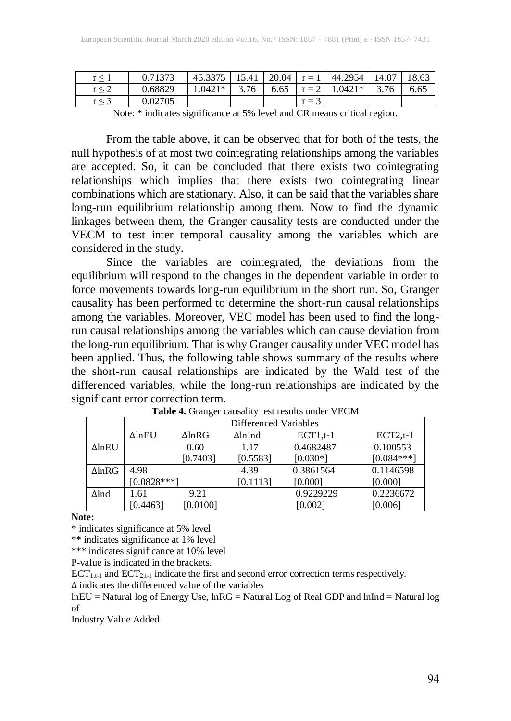| r < |         | 45.3375  | 1541 | 20.04 | $r = 1$ | 44.2954   | 14.07 | 1862 |
|-----|---------|----------|------|-------|---------|-----------|-------|------|
|     | 0.68829 | $.0421*$ | 3.76 | 6.65  | $r = 2$ | $0.0421*$ |       | 6.65 |
|     | 0.02705 |          |      |       | $r =$ . |           |       |      |

Note: \* indicates significance at 5% level and CR means critical region.

From the table above, it can be observed that for both of the tests, the null hypothesis of at most two cointegrating relationships among the variables are accepted. So, it can be concluded that there exists two cointegrating relationships which implies that there exists two cointegrating linear combinations which are stationary. Also, it can be said that the variables share long-run equilibrium relationship among them. Now to find the dynamic linkages between them, the Granger causality tests are conducted under the VECM to test inter temporal causality among the variables which are considered in the study.

Since the variables are cointegrated, the deviations from the equilibrium will respond to the changes in the dependent variable in order to force movements towards long-run equilibrium in the short run. So, Granger causality has been performed to determine the short-run causal relationships among the variables. Moreover, VEC model has been used to find the longrun causal relationships among the variables which can cause deviation from the long-run equilibrium. That is why Granger causality under VEC model has been applied. Thus, the following table shows summary of the results where the short-run causal relationships are indicated by the Wald test of the differenced variables, while the long-run relationships are indicated by the significant error correction term.

|                   | Differenced Variables |               |          |              |              |  |  |  |  |
|-------------------|-----------------------|---------------|----------|--------------|--------------|--|--|--|--|
|                   | $\Delta$ lnEU         | $\Delta$ lnRG | ∆lnInd   | $ECT1,t-1$   | $ECT2,t-1$   |  |  |  |  |
| $\Delta$ ln $E$ U |                       | 0.60          | 1.17     | $-0.4682487$ | $-0.100553$  |  |  |  |  |
|                   | [0.7403]              |               | [0.5583] | $[0.030*]$   | $[0.084***]$ |  |  |  |  |
| $\Delta$ lnRG     | 4.98                  |               | 4.39     | 0.3861564    | 0.1146598    |  |  |  |  |
|                   | $[0.0828***]$         |               | [0.1113] | [0.000]      | [0.000]      |  |  |  |  |
| $\Delta$ lnd      | 1.61                  | 9.21          |          | 0.9229229    | 0.2236672    |  |  |  |  |
|                   | [0.4463]              | [0.0100]      |          | [0.002]      | [0.006]      |  |  |  |  |

**Table 4.** Granger causality test results under VECM

**Note:**

\* indicates significance at 5% level

\*\* indicates significance at 1% level

\*\*\* indicates significance at 10% level

P-value is indicated in the brackets.

 $ECT<sub>1,t-1</sub>$  and  $ECT<sub>2,t-1</sub>$  indicate the first and second error correction terms respectively.

∆ indicates the differenced value of the variables

lnEU = Natural log of Energy Use, lnRG = Natural Log of Real GDP and lnInd = Natural log of

Industry Value Added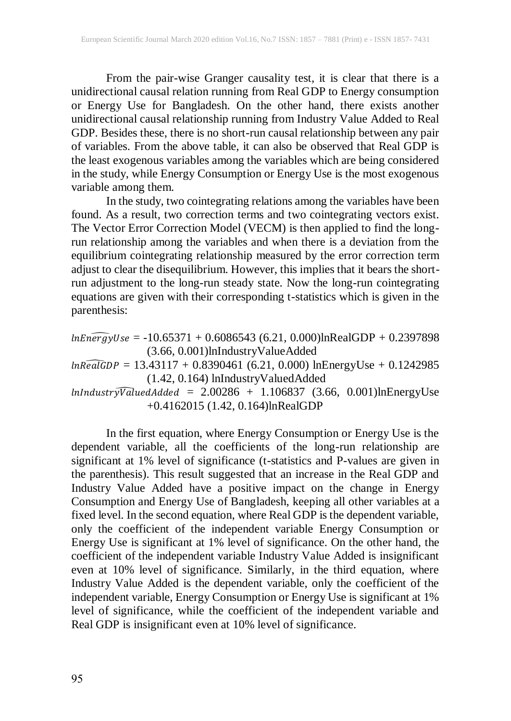From the pair-wise Granger causality test, it is clear that there is a unidirectional causal relation running from Real GDP to Energy consumption or Energy Use for Bangladesh. On the other hand, there exists another unidirectional causal relationship running from Industry Value Added to Real GDP. Besides these, there is no short-run causal relationship between any pair of variables. From the above table, it can also be observed that Real GDP is the least exogenous variables among the variables which are being considered in the study, while Energy Consumption or Energy Use is the most exogenous variable among them.

In the study, two cointegrating relations among the variables have been found. As a result, two correction terms and two cointegrating vectors exist. The Vector Error Correction Model (VECM) is then applied to find the longrun relationship among the variables and when there is a deviation from the equilibrium cointegrating relationship measured by the error correction term adjust to clear the disequilibrium. However, this implies that it bears the shortrun adjustment to the long-run steady state. Now the long-run cointegrating equations are given with their corresponding t-statistics which is given in the parenthesis:

 $lnEn\widehat{ergy}$ Use = - $10.65371+0.6086543$  (6.21, 0.000) $lnRealGDP + 0.2397898$ (3.66, 0.001)lnIndustryValueAdded  $ln$ RealGDP = 13.43117 + 0.8390461 (6.21, 0.000) lnEnergyUse + 0.1242985 (1.42, 0.164) lnIndustryValuedAdded  $ln$ Industry $\widehat{Value}$ d $Added = 2.00286 + 1.106837$  (3.66, 0.001)lnEnergyUse

+0.4162015 (1.42, 0.164)lnRealGDP

In the first equation, where Energy Consumption or Energy Use is the dependent variable, all the coefficients of the long-run relationship are significant at 1% level of significance (t-statistics and P-values are given in the parenthesis). This result suggested that an increase in the Real GDP and Industry Value Added have a positive impact on the change in Energy Consumption and Energy Use of Bangladesh, keeping all other variables at a fixed level. In the second equation, where Real GDP is the dependent variable, only the coefficient of the independent variable Energy Consumption or Energy Use is significant at 1% level of significance. On the other hand, the coefficient of the independent variable Industry Value Added is insignificant even at 10% level of significance. Similarly, in the third equation, where Industry Value Added is the dependent variable, only the coefficient of the independent variable, Energy Consumption or Energy Use is significant at 1% level of significance, while the coefficient of the independent variable and Real GDP is insignificant even at 10% level of significance.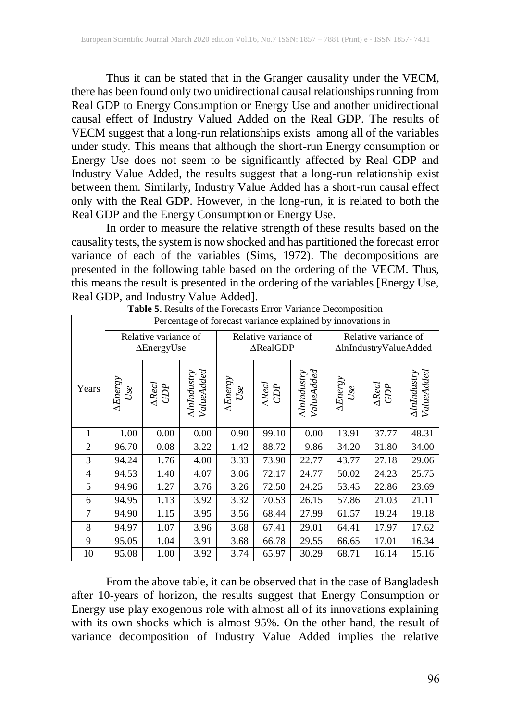Thus it can be stated that in the Granger causality under the VECM, there has been found only two unidirectional causal relationships running from Real GDP to Energy Consumption or Energy Use and another unidirectional causal effect of Industry Valued Added on the Real GDP. The results of VECM suggest that a long-run relationships exists among all of the variables under study. This means that although the short-run Energy consumption or Energy Use does not seem to be significantly affected by Real GDP and Industry Value Added, the results suggest that a long-run relationship exist between them. Similarly, Industry Value Added has a short-run causal effect only with the Real GDP. However, in the long-run, it is related to both the Real GDP and the Energy Consumption or Energy Use.

In order to measure the relative strength of these results based on the causality tests, the system is now shocked and has partitioned the forecast error variance of each of the variables (Sims, 1972). The decompositions are presented in the following table based on the ordering of the VECM. Thus, this means the result is presented in the ordering of the variables [Energy Use, Real GDP, and Industry Value Added].

|                | Percentage of forecast variance explained by innovations in |                           |                           |                             |                                             |                           |                                               |                                                   |                                  |  |  |
|----------------|-------------------------------------------------------------|---------------------------|---------------------------|-----------------------------|---------------------------------------------|---------------------------|-----------------------------------------------|---------------------------------------------------|----------------------------------|--|--|
|                | Relative variance of<br>$\Delta$ EnergyUse                  |                           |                           |                             | Relative variance of<br>$\triangle RealGDP$ |                           | Relative variance of<br>∆lnIndustryValueAdded |                                                   |                                  |  |  |
| Years          | $\frac{\Delta Energy}{Use}$                                 | $\frac{\Delta Real}{GDP}$ | AlnIndustry<br>ValueAdded | $\frac{\Delta Energy}{Use}$ | $\Delta Real$ GDP                           | AlnIndustry<br>ValueAdded | $\frac{\Delta Energy}{Use}$                   | $\begin{array}{c} \Delta Real \\ GDP \end{array}$ | ValueAdded<br><b>AlnIndustry</b> |  |  |
| 1              | 1.00                                                        | 0.00                      | 0.00                      | 0.90                        | 99.10                                       | 0.00                      | 13.91                                         | 37.77                                             | 48.31                            |  |  |
| $\overline{2}$ | 96.70                                                       | 0.08                      | 3.22                      | 1.42                        | 88.72                                       | 9.86                      | 34.20                                         | 31.80                                             | 34.00                            |  |  |
| 3              | 94.24                                                       | 1.76                      | 4.00                      | 3.33                        | 73.90                                       | 22.77                     | 43.77                                         | 27.18                                             | 29.06                            |  |  |
| 4              | 94.53                                                       | 1.40                      | 4.07                      | 3.06                        | 72.17                                       | 24.77                     | 50.02                                         | 24.23                                             | 25.75                            |  |  |
| 5              | 94.96                                                       | 1.27                      | 3.76                      | 3.26                        | 72.50                                       | 24.25                     | 53.45                                         | 22.86                                             | 23.69                            |  |  |
| 6              | 94.95                                                       | 1.13                      | 3.92                      | 3.32                        | 70.53                                       | 26.15                     | 57.86                                         | 21.03                                             | 21.11                            |  |  |
| 7              | 94.90                                                       | 1.15                      | 3.95                      | 3.56                        | 68.44                                       | 27.99                     | 61.57                                         | 19.24                                             | 19.18                            |  |  |
| 8              | 94.97                                                       | 1.07                      | 3.96                      | 3.68                        | 67.41                                       | 29.01                     | 64.41                                         | 17.97                                             | 17.62                            |  |  |
| 9              | 95.05                                                       | 1.04                      | 3.91                      | 3.68                        | 66.78                                       | 29.55                     | 66.65                                         | 17.01                                             | 16.34                            |  |  |
| 10             | 95.08                                                       | 1.00                      | 3.92                      | 3.74                        | 65.97                                       | 30.29                     | 68.71                                         | 16.14                                             | 15.16                            |  |  |

**Table 5.** Results of the Forecasts Error Variance Decomposition

From the above table, it can be observed that in the case of Bangladesh after 10-years of horizon, the results suggest that Energy Consumption or Energy use play exogenous role with almost all of its innovations explaining with its own shocks which is almost 95%. On the other hand, the result of variance decomposition of Industry Value Added implies the relative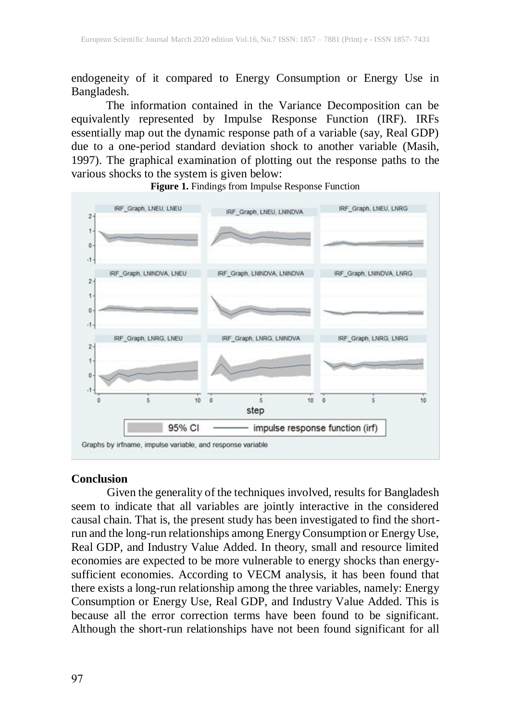endogeneity of it compared to Energy Consumption or Energy Use in Bangladesh.

The information contained in the Variance Decomposition can be equivalently represented by Impulse Response Function (IRF). IRFs essentially map out the dynamic response path of a variable (say, Real GDP) due to a one-period standard deviation shock to another variable (Masih, 1997). The graphical examination of plotting out the response paths to the various shocks to the system is given below:

**Figure 1.** Findings from Impulse Response Function



#### **Conclusion**

Given the generality of the techniques involved, results for Bangladesh seem to indicate that all variables are jointly interactive in the considered causal chain. That is, the present study has been investigated to find the shortrun and the long-run relationships among EnergyConsumption or Energy Use, Real GDP, and Industry Value Added. In theory, small and resource limited economies are expected to be more vulnerable to energy shocks than energysufficient economies. According to VECM analysis, it has been found that there exists a long-run relationship among the three variables, namely: Energy Consumption or Energy Use, Real GDP, and Industry Value Added. This is because all the error correction terms have been found to be significant. Although the short-run relationships have not been found significant for all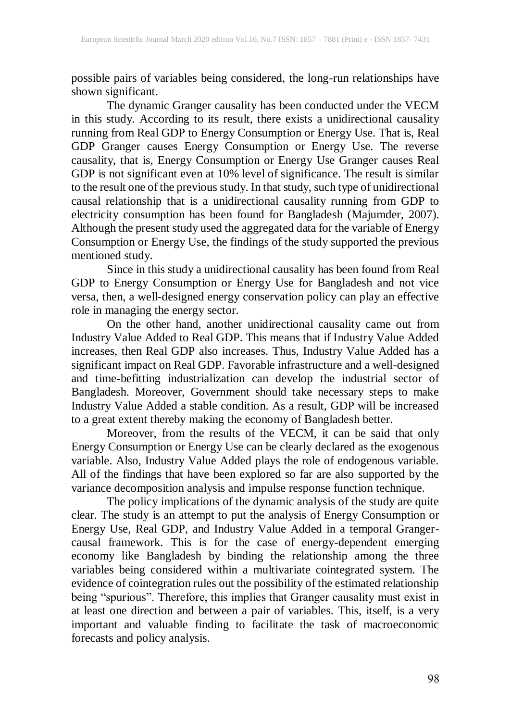possible pairs of variables being considered, the long-run relationships have shown significant.

The dynamic Granger causality has been conducted under the VECM in this study. According to its result, there exists a unidirectional causality running from Real GDP to Energy Consumption or Energy Use. That is, Real GDP Granger causes Energy Consumption or Energy Use. The reverse causality, that is, Energy Consumption or Energy Use Granger causes Real GDP is not significant even at 10% level of significance. The result is similar to the result one of the previous study. In that study, such type of unidirectional causal relationship that is a unidirectional causality running from GDP to electricity consumption has been found for Bangladesh (Majumder, 2007). Although the present study used the aggregated data for the variable of Energy Consumption or Energy Use, the findings of the study supported the previous mentioned study.

Since in this study a unidirectional causality has been found from Real GDP to Energy Consumption or Energy Use for Bangladesh and not vice versa, then, a well-designed energy conservation policy can play an effective role in managing the energy sector.

On the other hand, another unidirectional causality came out from Industry Value Added to Real GDP. This means that if Industry Value Added increases, then Real GDP also increases. Thus, Industry Value Added has a significant impact on Real GDP. Favorable infrastructure and a well-designed and time-befitting industrialization can develop the industrial sector of Bangladesh. Moreover, Government should take necessary steps to make Industry Value Added a stable condition. As a result, GDP will be increased to a great extent thereby making the economy of Bangladesh better.

Moreover, from the results of the VECM, it can be said that only Energy Consumption or Energy Use can be clearly declared as the exogenous variable. Also, Industry Value Added plays the role of endogenous variable. All of the findings that have been explored so far are also supported by the variance decomposition analysis and impulse response function technique.

The policy implications of the dynamic analysis of the study are quite clear. The study is an attempt to put the analysis of Energy Consumption or Energy Use, Real GDP, and Industry Value Added in a temporal Grangercausal framework. This is for the case of energy-dependent emerging economy like Bangladesh by binding the relationship among the three variables being considered within a multivariate cointegrated system. The evidence of cointegration rules out the possibility of the estimated relationship being "spurious". Therefore, this implies that Granger causality must exist in at least one direction and between a pair of variables. This, itself, is a very important and valuable finding to facilitate the task of macroeconomic forecasts and policy analysis.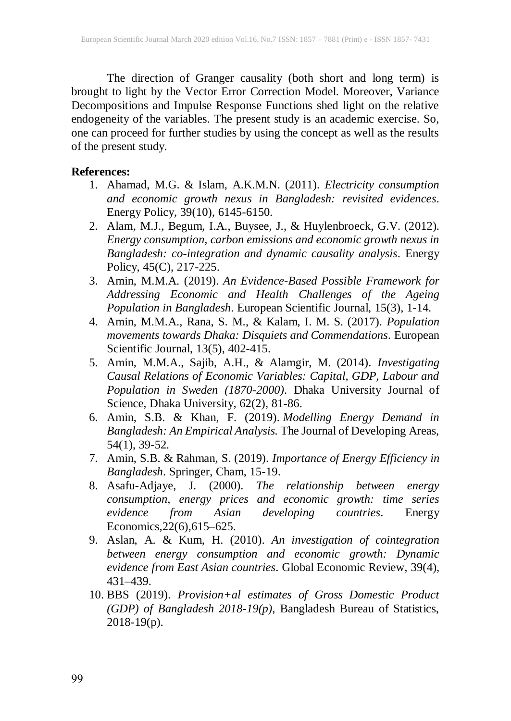The direction of Granger causality (both short and long term) is brought to light by the Vector Error Correction Model. Moreover, Variance Decompositions and Impulse Response Functions shed light on the relative endogeneity of the variables. The present study is an academic exercise. So, one can proceed for further studies by using the concept as well as the results of the present study.

### **References:**

- 1. Ahamad, M.G. & Islam, A.K.M.N. (2011). *Electricity consumption and economic growth nexus in Bangladesh: revisited evidences*. Energy Policy, 39(10), 6145-6150.
- 2. Alam, M.J., Begum, I.A., Buysee, J., & Huylenbroeck, G.V. (2012). *Energy consumption, carbon emissions and economic growth nexus in Bangladesh: co-integration and dynamic causality analysis*. Energy Policy, 45(C), 217-225.
- 3. Amin, M.M.A. (2019). *An Evidence-Based Possible Framework for Addressing Economic and Health Challenges of the Ageing Population in Bangladesh*. European Scientific Journal, 15(3), 1-14.
- 4. Amin, M.M.A., Rana, S. M., & Kalam, I. M. S. (2017). *Population movements towards Dhaka: Disquiets and Commendations*. European Scientific Journal, 13(5), 402-415.
- 5. Amin, M.M.A., Sajib, A.H., & Alamgir, M. (2014). *Investigating Causal Relations of Economic Variables: Capital, GDP, Labour and Population in Sweden (1870-2000)*. Dhaka University Journal of Science, Dhaka University, 62(2), 81-86.
- 6. Amin, S.B. & Khan, F. (2019). *Modelling Energy Demand in Bangladesh: An Empirical Analysis.* The Journal of Developing Areas, 54(1), 39-52.
- 7. Amin, S.B. & Rahman, S. (2019). *Importance of Energy Efficiency in Bangladesh*. Springer, Cham, 15-19.
- 8. Asafu-Adjaye, J. (2000). *The relationship between energy consumption, energy prices and economic growth: time series evidence from Asian developing countries*. Energy Economics,22(6),615–625.
- 9. Aslan, A. & Kum, H. (2010). *An investigation of cointegration between energy consumption and economic growth: Dynamic evidence from East Asian countries*. Global Economic Review, 39(4), 431–439.
- 10. BBS (2019). *Provision+al estimates of Gross Domestic Product (GDP) of Bangladesh 2018-19(p)*, Bangladesh Bureau of Statistics,  $2018-19(p)$ .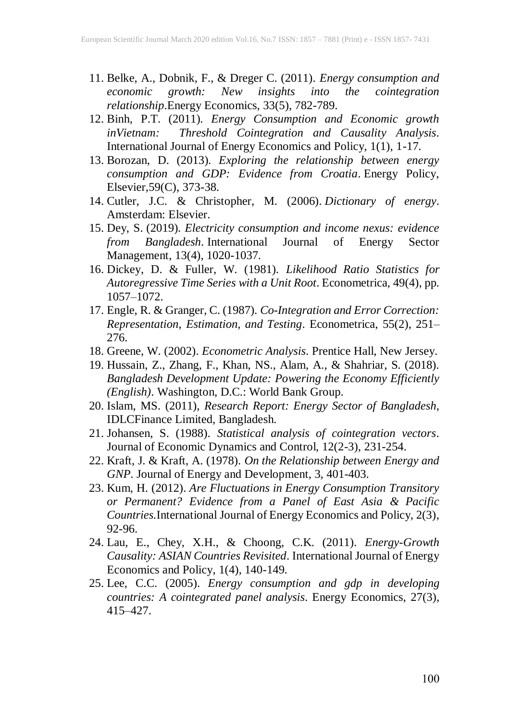- 11. Belke, A., Dobnik, F., & Dreger C. (2011). *Energy consumption and economic growth: New insights into the cointegration relationship*.Energy Economics, 33(5), 782-789.
- 12. Binh, P.T. (2011). *Energy Consumption and Economic growth inVietnam: Threshold Cointegration and Causality Analysis*. International Journal of Energy Economics and Policy, 1(1), 1-17.
- 13. Borozan, D. (2013). *Exploring the relationship between energy consumption and GDP: Evidence from Croatia*. Energy Policy, Elsevier,59(C), 373-38.
- 14. Cutler, J.C. & Christopher, M. (2006). *Dictionary of energy*. Amsterdam: Elsevier.
- 15. Dey, S. (2019). *Electricity consumption and income nexus: evidence from Bangladesh*. International Journal of Energy Sector Management, 13(4), 1020-1037.
- 16. Dickey, D. & Fuller, W. (1981). *Likelihood Ratio Statistics for Autoregressive Time Series with a Unit Root*. Econometrica, 49(4), pp. 1057–1072.
- 17. Engle, R. & Granger, C. (1987). *Co-Integration and Error Correction: Representation, Estimation, and Testing*. Econometrica, 55(2), 251– 276.
- 18. Greene, W. (2002). *Econometric Analysis*. Prentice Hall, New Jersey.
- 19. Hussain, Z., Zhang, F., Khan, NS., Alam, A., & Shahriar, S. (2018). *Bangladesh Development Update: Powering the Economy Efficiently (English)*. Washington, D.C.: World Bank Group.
- 20. Islam, MS. (2011), *Research Report: Energy Sector of Bangladesh*, IDLCFinance Limited, Bangladesh.
- 21. Johansen, S. (1988). *Statistical analysis of cointegration vectors*. Journal of Economic Dynamics and Control, 12(2-3), 231-254.
- 22. Kraft, J. & Kraft, A. (1978). *On the Relationship between Energy and GNP*. Journal of Energy and Development, 3, 401-403.
- 23. Kum, H. (2012). *Are Fluctuations in Energy Consumption Transitory or Permanent? Evidence from a Panel of East Asia & Pacific Countries.*International Journal of Energy Economics and Policy, 2(3), 92-96.
- 24. Lau, E., Chey, X.H., & Choong, C.K. (2011). *Energy-Growth Causality: ASIAN Countries Revisited*. International Journal of Energy Economics and Policy, 1(4), 140-149.
- 25. Lee, C.C. (2005). *Energy consumption and gdp in developing countries: A cointegrated panel analysis*. Energy Economics, 27(3), 415–427.